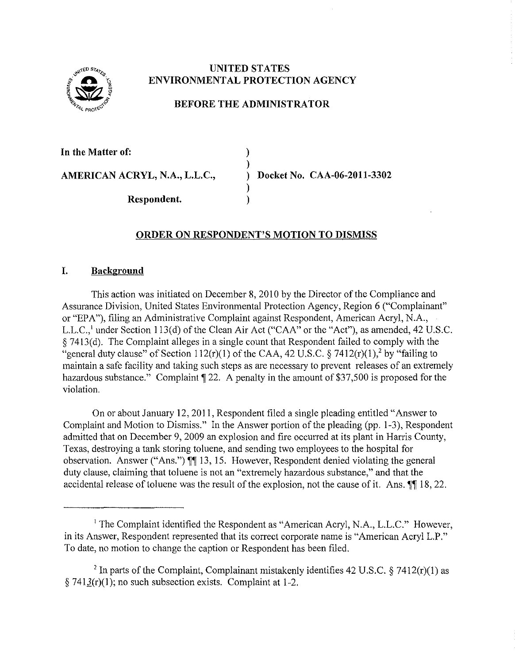

## **UNITED STATES ENVIRONMENTAL PROTECTION AGENCY**

# **BEFORE THE ADMINISTRATOR**

) )

)

**In the Matter of:** 

**AMERICAN ACRYL, N.A., L.L.C.,** ) **Docket No. CAA-06-2011-3302** 

**Respondent.** )

## **ORDER ON RESPONDENT'S MOTION TO DISMISS**

### **I. Background**

This action was initiated on December 8, 2010 by the Director of the Compliance and Assurance Division, United States Environmental Protection Agency, Region 6 ("Complainant" or "EPA"), filing an Administrative Complaint against Respondent, American Acryl, N.A., L.L.C.,<sup>1</sup> under Section 113(d) of the Clean Air Act ("CAA" or the "Act"), as amended, 42 U.S.C. § 7413(d). The Complaint alleges in a single count that Respondent failed to comply with the "general duty clause" of Section 112(r)(1) of the CAA, 42 U.S.C. § 7412(r)(1),<sup>2</sup> by "failing to maintain a safe facility and taking such steps as are necessary to prevent releases of an extremely hazardous substance." Complaint  $\P$  22. A penalty in the amount of \$37,500 is proposed for the violation.

On or about January 12,2011, Respondent filed a single pleading entitled "Answer to Complaint and Motion to Dismiss." In the Answer portion of the pleading (pp. 1-3), Respondent admitted that on December 9, 2009 an explosion and fire occurred at its plant in Harris County, Texas, destroying a tank storing toluene, and sending two employees to the hospital for observation. Answer ("Ans.")  $\P$  13, 15. However, Respondent denied violating the general duty clause, claiming that toluene is not an "extremely hazardous substance," and that the accidental release of toluene was the result of the explosion, not the cause of it. Ans.  $\P$  18, 22.

<sup>&</sup>lt;sup>1</sup> The Complaint identified the Respondent as "American Acryl, N.A., L.L.C." However, in its Answer, Respondent represented that its correct corporate name is "American Aery! L.P." To date, no motion to change the caption or Respondent has been filed.

<sup>&</sup>lt;sup>2</sup> In parts of the Complaint, Complainant mistakenly identifies 42 U.S.C. § 7412(r)(1) as § 741 $3(r)(1)$ ; no such subsection exists. Complaint at 1-2.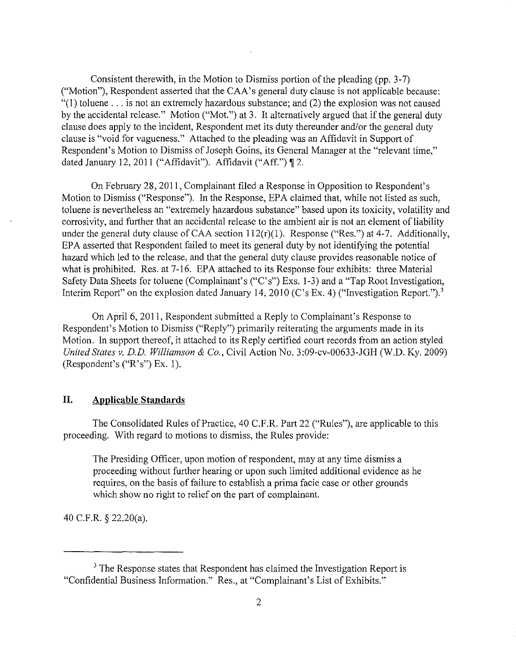Consistent therewith, in the Motion to Dismiss portion of the pleading (pp. 3-7) ("Motion"), Respondent asserted that the CAA's general duty clause is not applicable because:  $(1)$  toluene ... is not an extremely hazardous substance; and (2) the explosion was not caused by the accidental release." Motion ("Mot.") at 3. It alternatively argued that if the general duty clause does apply to the incident, Respondent met its duty thereunder and/or the general duty clause is "void for vagueness." Attached to the pleading was an Affidavit in Support of Respondent's Motion to Dismiss of Joseph Goins, its General Manager at the "relevant time," dated January 12, 2011 ("Affidavit"). Affidavit ("Aff.")  $\P$  2.

On February 28,2011, Complainant filed a Response in Opposition to Respondent's Motion to Dismiss ("Response"). In the Response, EPA claimed that, while not listed as such, toluene is nevertheless an "extremely hazardous substance" based upon its toxicity, volatility and corrosivity, and further that an accidental release to the ambient air is not an element of liability under the general duty clause of CAA section  $112(r)(1)$ . Response ("Res.") at 4-7. Additionally, EPA assetted that Respondent failed to meet its general duty by not identifying the potential hazard which led to the release, and that the general duty clause provides reasonable notice of what is prohibited. Res. at 7-16. EPA attached to its Response four exhibits: three Material Safety Data Sheets for toluene (Complainant's ("C's") Exs. 1-3) and a "Tap Root Investigation, Interim Report" on the explosion dated January 14, 2010 (C's Ex. 4) ("Investigation Report.").<sup>3</sup>

On April6, 2011, Respondent submitted a Reply to Complainant's Response to Respondent's Motion to Dismiss ("Reply") primarily reiterating the arguments made in its Motion. In support thereof, it attached to its Reply certified court records from an action styled *United States v. D.D. Williamson* & *Co.,* Civil Action No. 3:09-cv-00633-JGH (W.O. Ky. 2009) (Respondent's ("R's") Ex. 1).

## **II. Applicable Standards**

The Consolidated Rules of Practice, 40 C.P.R. Part 22 ("Rules"), are applicable to this proceeding. With regard to motions to dismiss, the Rules provide:

The Presiding Officer, upon motion of respondent, may at any time dismiss a proceeding without further hearing or upon such limited additional evidence as he requires, on the basis of failure to establish a prima facie case or other grounds which show no right to relief on the part of complainant.

40 C.P.R. § 22.20(a).

<sup>&</sup>lt;sup>3</sup> The Response states that Respondent has claimed the Investigation Report is "Confidential Business Information." Res., at "Complainant's List of Exhibits."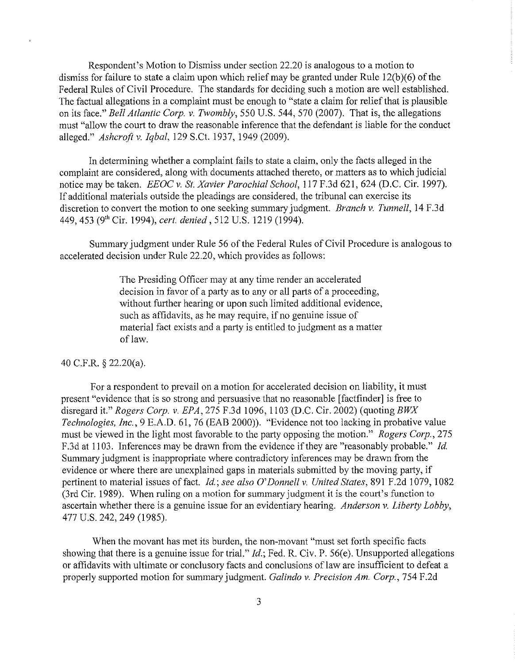Respondent's Motion to Dismiss under section 22.20 is analogous to a motion to dismiss for failure to state a claim upon which relief may be granted under Rule 12(b)(6) of the Federal Rules of Civil Procedure. The standards for deciding such a motion are well established. The factual allegations in a complaint must be enough to "state a claim for relief that is plausible on its face." *Bell Atlantic Corp. v. Twombly,* 550 U.S. 544, 570 (2007). That is, the allegations must "allow the court to draw the reasonable inference that the defendant is liable for the conduct alleged." *Ashcrofi v. Iqbal,* 129 S.Ct. 1937, 1949 (2009).

In determining whether a complaint fails to state a claim, only the facts alleged in the complaint are considered, along with documents attached thereto, or matters as to which judicial notice may be taken. *EEOC v. St. Xavier Parochial School,* 117 F.3d 621, 624 (D.C. Cir. 1997). If additional materials outside the pleadings are considered, the tribunal can exercise its discretion to convert the motion to one seeking summary judgment. *Branch v. Tunnell,* 14 F.3d 449, 453 (9'h Cir. 1994), *cert. denied,* 512 U.S. 1219 (1994).

Summmy judgment under Rule 56 of the Federal Rules of Civil Procedure is analogous to accelerated decision under Rule 22.20, which provides as follows:

> The Presiding Officer may at any time render an accelerated decision in favor of a party as to any or all parts of a proceeding, without further hearing or upon such limited additional evidence, such as affidavits, as he may require, if no genuine issue of material fact exists and a party is entitled to judgment as a matter of law.

#### 40 C.F.R. § 22.20(a).

For a respondent to prevail on a motion for accelerated decision on liability, it must present "evidence that is so strong and persuasive that no reasonable [factfinder] is free to disregard it." *Rogers Corp. v. EPA,* 275 F.3d 1096, 1103 (D.C. Cir. 2002) (quoting BWX *Technologies, Inc.,* 9 E.A.D. 61, 76 (EAB 2000)). "Evidence not too lacking in probative value must be viewed in the light most favorable to the party opposing the motion." *Rogers Corp.,* 275 F.3d at 1103. Inferences may be drawn from the evidence if they are "reasonably probable." *Jd*  Summary judgment is inappropriate where contradictory inferences may be drawn from the evidence or where there are unexplained gaps in materials submitted by the moving party, if pertinent to material issues of fact. *Jd; see also O'Donnell v. United States,* 891 F.2d 1079, 1082 (3rd Cir. 1989). When ruling on a motion for summary judgment it is the court's function to ascertain whether there is a genuine issue for an evidentiary hearing. *Anderson v. Liberty Lobby*, 477 U.S. 242, 249 (1985).

When the movant has met its burden, the non-movant "must set forth specific facts showing that there is a genuine issue for trial."  $Id$ ; Fed. R. Civ. P. 56(e). Unsupported allegations or affidavits with ultimate or conclusory facts and conclusions of law are insufficient to defeat a properly supported motion for summary judgment. *Galindo v. Precision Am. Corp.,* 754 F.2d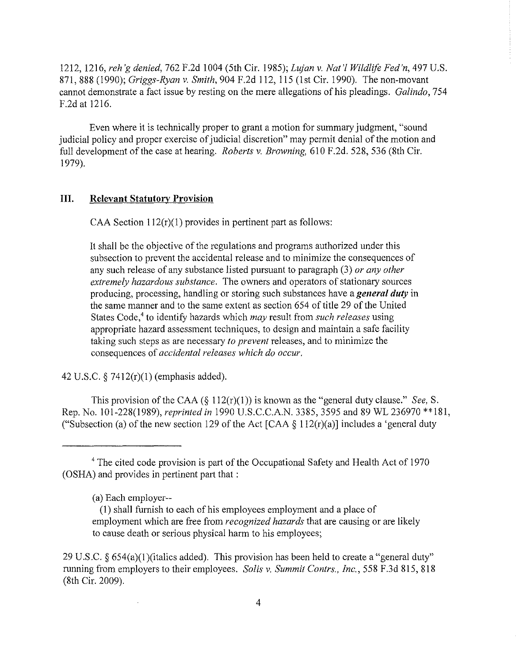1212, 1216, *reh 'g denied,* 762 F.2d 1004 (5th Cir. I 985); *Lujan v. Nat 'l Wildlife Fed'n,* 497 U.S. 871,888 (1990); *Griggs-Ryan v. Smith,* 904 F.2d I 12, I 15 (1st Cir. 1990). The non-movant cannot demonstrate a fact issue by resting on the mere allegations of his pleadings. *Galindo,* 754 F.2d at 1216.

Even where it is technically proper to grant a motion for summary judgment, "sound judicial policy and proper exercise of judicial discretion" may permit denial of the motion and full development of the case at hearing. *Roberts v. Browning,* 610 F.2d. 528, 536 (8th Cir. I 979).

### **III. Relevant Statutorv Provision**

CAA Section  $112(r)(1)$  provides in pertinent part as follows:

It shall be the objective of the regulations and programs authorized under this subsection to prevent the accidental release and to minimize the consequences of any such release of any substance listed pursuant to paragraph (3) *or any other extremely hazardous substance.* The owners and operators of stationary sources producing, processing, handling or storing such substances have a *general duty* in the same manner and to the same extent as section 654 of title 29 of the United States Code,< to identifY hazards which *may* result from *such releases* using appropriate hazard assessment techniques, to design and maintain a safe facility taking such steps as are necessary *to prevent* releases, and to minimize the consequences of *accidental releases which do occur.* 

42 U.S.C. § 7412(r)(l) (emphasis added).

This provision of the CAA ( $\S$  112(r)(1)) is known as the "general duty clause." *See*, *S*. Rep. No. 101-228(1989), *reprinted in* 1990 U.S.C.C.A.N. 3385,3595 and 89 WL 236970 \*\*181, ("Subsection (a) of the new section 129 of the Act [CAA  $\S$  112(r)(a)] includes a 'general duty

<sup>&</sup>lt;sup>4</sup> The cited code provision is part of the Occupational Safety and Health Act of 1970 (OSHA) and provides in pertinent part that :

<sup>(</sup>a) Each employer--

<sup>(!)</sup> shall furnish to each of his employees employment and a place of employment which are free from *recognized hazards* that are causing or are likely to cause death or serious physical harm to his employees;

<sup>29</sup> U.S.C.  $\S 654(a)(1)$  (italics added). This provision has been held to create a "general duty" running from employers to their employees. *Solis v. Summit Contrs., Inc.,* 558 F.3d 815, 818 (8th Cir. 2009).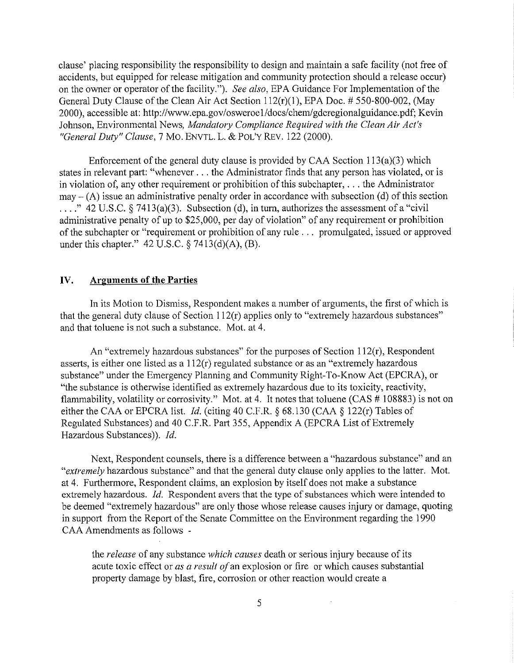clause' placing responsibility the responsibility to design and maintain a safe facility (not free of accidents, but equipped for release mitigation and community protection should a release occur) on the owner or operator of the facility."). *See also,* EPA Guidance For Implementation ofthe General Duty Clause of the Clean Air Act Section 112(r)(1), EPA Doc. # 550-800-002, (May 2000), accessible at: http://www.epa.gov/osweroe1/docs/chem/gdcregionalguidance.pdf: Kevin Johnson, Environmental News, *Mandatory Compliance Required with the Clean Air Act's "General Duty" Clause,* 7 Mo. ENVTL. L. & PoL'Y REV. 122 (2000).

Enforcement of the general duty clause is provided by CAA Section 113(a)(3) which states in relevant part: "whenever ... the Administrator finds that any person has violated, or is in violation of, any other requirement or prohibition of this subchapter, ... the Administrator  $max - (A)$  issue an administrative penalty order in accordance with subsection (d) of this section ...." 42 U.S.C.  $\S$  7413(a)(3). Subsection (d), in turn, authorizes the assessment of a "civil" administrative penalty of up to \$25,000, per day of violation" of any requirement or prohibition of the subchapter or "requirement or prohibition of any rule ... promulgated, issued or approved under this chapter." 42 U.S.C. § 7413(d)(A), (B).

#### **IV. Arguments of the Parties**

In its Motion to Dismiss, Respondent makes a number of arguments, the first of which is that the general duty clause of Section 112(r) applies only to "extremely hazardous substances" and that toluene is not such a substance. Mot. at 4.

An "extremely hazardous substances" for the purposes of Section 112(r), Respondent assetts, is either one listed as a 112(r) regulated substance or as an "extremely hazardous substance" under the Emergency Planning and Community Right-To-Know Act (EPCRA), or "the substance is otherwise identified as extremely hazardous due to its toxicity, reactivity, flammability, volatility or corrosivity." Mot. at 4. It notes that toluene (CAS  $#108883$ ) is not on either the CAA or EPCRA list. Jd. (citing 40 C.F.R. § 68.130 (CAA § 122(r) Tables of Regulated Substances) and 40 C.F.R. Part 355, Appendix A (EPCRA List of Extremely Hazardous Substances)). Jd.

Next, Respondent counsels, there is a difference between a "hazardous substance" and an *"extremely* hazardous substance" and that the general duty clause only applies to the latter. Mot. at 4. Furthermore, Respondent claims, an explosion by itself does not make a substance extremely hazardous. *Id.* Respondent avers that the type of substances which were intended to be deemed "extremely hazardous" are only those whose release causes injury or damage, quoting in support from the Report of the Senate Committee on the Environment regarding the 1990 CAA Amendments as follows -

the *release* of any substance *which causes* death or serious injury because of its acute toxic effect or *as a result of* an explosion or fire or which causes substantial property damage by blast, fire, corrosion or other reaction would create a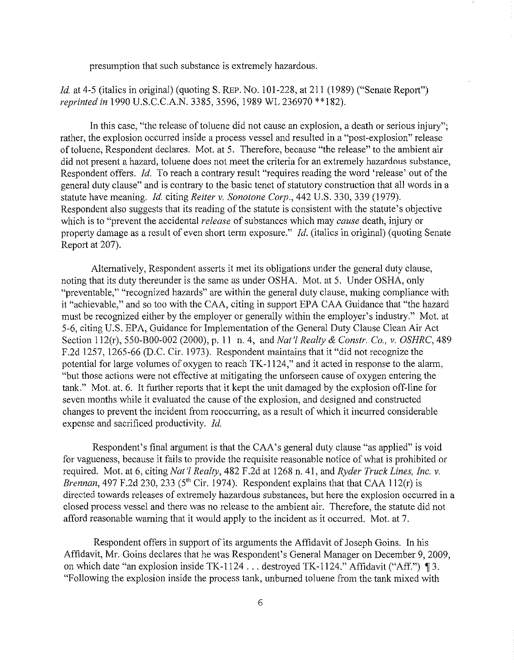presumption that such substance is extremely hazardous.

*Id.* at 4-5 (italics in original) (quoting S. REP. No. 101-228, at 211 (1989) ("Senate Report") *reprinted in* 1990 U.S.C.C.A.N. 3385, 3596, 1989 WL 236970 \*\* 182).

In this case, "the release of toluene did not cause an explosion, a death or serious injury"; rather, the explosion occurred inside a process vessel and resulted in a "post-explosion" release of toluene, Respondent declares. Mot. at 5. Therefore, because "the release" to the ambient air did not present a hazard, toluene does not meet the criteria for an extremely hazardous substance, Respondent offers. *!d.* To reach a contrary result "requires reading the word 'release' out of the general duty clause" and is contrary to the basic tenet of statutory construction that all words in a statute have meaning. *!d.* citing *Reiter v. Sonotone Corp.,* 442 U.S. 330, 339 (1979). Respondent also suggests that its reading of the statute is consistent with the statute's objective which is to "prevent the accidental *release* of substances which may *cause* death, injury or property damage as a result of even short term exposure." *!d.* (italics in original) (quoting Senate Report at 207).

Alternatively, Respondent asserts it met its obligations under the general duty clause, noting that its duty thereunder is the same as under OSHA. Mot. at 5. Under OSHA, only "preventable," "recognized hazards" are within the general duty clause, making compliance with it "achievable," and so too with the CAA, citing in support EPA CAA Guidance that "the hazard must be recognized either by the employer or generally within the employer's industry." Mot. at 5-6, citing U.S. EPA, Guidance for Implementation of the General Duty Clause Clean Air Act Section 112(r), 550-B00-002 (2000), p. 11 n. 4, and *Nat* 'I *Realty* & *Constr. Co., v. OSHRC,* 489 F.2d 1257, 1265-66 (D.C. Cir. 1973). Respondent maintains that it "did not recognize the potential for large volumes of oxygen to reach TK-1124," and it acted in response to the alarm, "but those actions were not effective at mitigating the unforseen cause of oxygen entering the tank." Mot. at. 6. It further reports that it kept the unit damaged by the explosion off-line for seven months while it evaluated the cause of the explosion, and designed and constructed changes to prevent the incident from reoccurring, as a result of which it incurred considerable expense and sacrificed productivity. *!d.* 

Respondent's final argument is that the CAA's general duty clause "as applied" is void for vagueness, because it fails to provide the requisite reasonable notice of what is prohibited or required. Mot. at 6, citing *Nat* 'I *Realty,* 482 F .2d at 1268 n. 41, and *Ryder Truck Lines, Inc. v. Brennan,* 497 F.2d 230, 233 (5<sup>th</sup> Cir. 1974). Respondent explains that that CAA 112(r) is directed towards releases of extremely hazardous substances, but here the explosion occurred in a closed process vessel and there was no release to the ambient air. Therefore, the statute did not afford reasonable warning that it would apply to the incident as it occurred. Mot. at 7.

Respondent offers in support of its arguments the Affidavit of Joseph Goins. In his Affidavit, Mr. Goins declares that he was Respondent's General Manager on December 9, 2009, on which date "an explosion inside TK-1124 . . . destroyed TK-1124." Affidavit ("Aff.") 13. "Following the explosion inside the process tank, unbumed toluene from the tank mixed with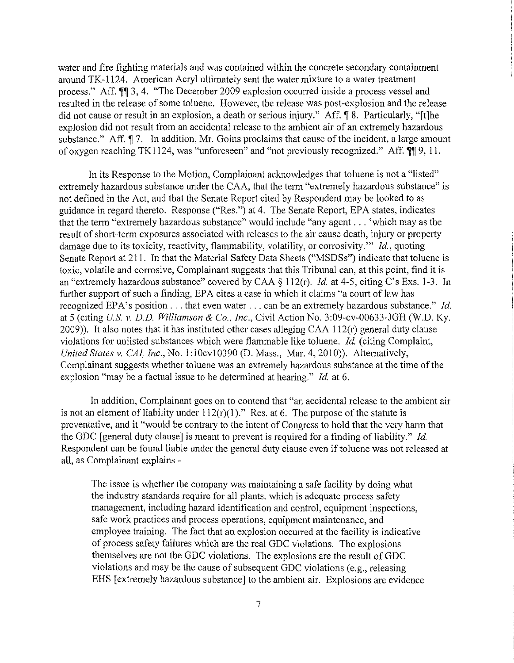water and fire fighting materials and was contained within the concrete secondary containment around TK-1124. American Acryl ultimately sent the water mixture to a water treatment process." Aff.  $\mathbb{M}$  3, 4. "The December 2009 explosion occurred inside a process vessel and resulted in the release of some toluene. However, the release was post-explosion and the release did not cause or result in an explosion, a death or serious injury." Aff. ¶ 8. Particularly, "[t]he explosion did not result from an accidental release to the ambient air of an extremely hazardous substance." Aff.  $\sqrt{9}$ . In addition, Mr. Goins proclaims that cause of the incident, a large amount of oxygen reaching TK1124, was "unforeseen" and "not previously recognized." Aff.  $\P\P$  9, 11.

In its Response to the Motion, Complainant acknowledges that toluene is not a "listed" extremely hazardous substance under the CAA, that the term "extremely hazardous substance" is not defined in the Act, and that the Senate Report cited by Respondent may be looked to as guidance in regard thereto. Response ("Res.") at 4. The Senate Report, EPA states, indicates that the term "extremely hazardous substance" would include "any agent ... 'which may as the result of short-term exposures associated with releases to the air cause death, injury or property damage due to its toxicity, reactivity, flammability, volatility, or corrosivity."' *Jd.,* quoting Senate Report at 211. In that the Material Safety Data Sheets ("MSDSs") indicate that toluene is toxic, volatile and corrosive, Complainant suggests that this Tribunal can, at this point, find it is an "extremely hazardous substance" covered by CAA *§* 112(r). *ld.* at 4-5, citing C's Exs. 1-3. In further support of such a finding, EPA cites a case in which it claims "a court of law has recognized EPA's position . . . that even water . . . can be an extremely hazardous substance." *Id.* at 5 (citing *U.S. v. D. D. Williamson* & *Co., Inc.,* Civil Action No. 3:09-cv-00633-JGH (W.O. Ky. 2009)). It also notes that it has instituted other cases alleging CAA  $112(r)$  general duty clause violations for unlisted substances which were flammable like toluene. *Id.* (citing Complaint, *United States v. CAI, Inc., No.* 1:10cv10390 (D. Mass., Mar. 4, 2010)). Alternatively, Complainant suggests whether toluene was an extremely hazardous substance at the time of the explosion "may be a factual issue to be determined at hearing." *Id.* at 6.

In addition, Complainant goes on to contend that "an accidental release to the ambient air is not an element of liability under  $112(r)(1)$ ." Res. at 6. The purpose of the statute is preventative, and it "would be contrary to the intent of Congress to hold that the very harm that the GDC [general duty clause] is meant to prevent is required for a finding of liability." *Jd.*  Respondent can be found liable under the general duty clause even if toluene was not released at all, as Complainant explains -

The issue is whether the company was maintaining a safe facility by doing what the industry standards require for all plants, which is adequate process safety management, including hazard identification and control, equipment inspections, safe work practices and process operations, equipment maintenance, and employee training. The fact that an explosion occurred at the facility is indicative of process safety failures which are the real GDC violations. The explosions themselves are not the GDC violations. The explosions are the result of GDC violations and may be the cause of subsequent GDC violations (e.g., releasing EHS [extremely hazardous substance] to the ambient air. Explosions are evidence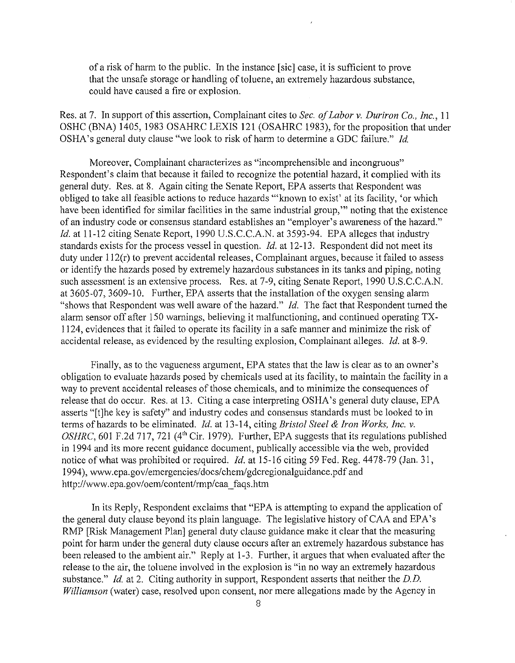of a risk of harm to the public. In the instance [sic] case, it is sufficient to prove that the unsafe storage or handling of toluene, an extremely hazardous substance, could have caused a fire or explosion.

Res. at 7. In support of this assertion, Complainant cites to *Sec. of Labor v. Duriron Co., Inc.,* <sup>11</sup> OSHC (BNA) 1405, 1983 OSAHRC LEXIS 121 (OSAHRC 1983), for the proposition that under OSHA's general duty clause "we look to risk of harm to determine a GDC failure." *!d.* 

Moreover, Complainant characterizes as "incomprehensible and incongruous" Respondent's claim that because it failed to recognize the potential hazard, it complied with its general duty. Res. at 8. Again citing the Senate Report, EPA asserts that Respondent was obliged to take all feasible actions to reduce hazards "'known to exist' at its facility, 'or which have been identified for similar facilities in the same industrial group," noting that the existence of an industry code or consensus standard establishes an "employer's awareness of the hazard." *Id.* at 11-12 citing Senate Report, 1990 U.S.C.C.A.N. at 3593-94. EPA alleges that industry standards exists for the process vessel in question. *!d.* at 12-13. Respondent did not meet its duty under 112(r) to prevent accidental releases, Complainant argues, because it failed to assess or identify the hazards posed by extremely hazardous substances in its tanks and piping, noting such assessment is an extensive process. Res. at 7-9, citing Senate Report, 1990 U.S.C.C.A.N. at 3605-07, 3609-10. Further, EPA asserts that the installation of the oxygen sensing alarm "shows that Respondent was well aware of the hazard." *!d.* The fact that Respondent turned the alarm sensor off after 150 warnings, believing it malfunctioning, and continued operating TX-1124, evidences that it failed to operate its facility in a safe manner and minimize the risk of accidental release, as evidenced by the resulting explosion, Complainant alleges. *!d.* at 8-9.

Finally, as to the vagueness argument, EPA states that the law is clear as to an owner's obligation to evaluate hazards posed by chemicals used at its facility, to maintain the facility in a way to prevent accidental releases of those chemicals, and to minimize the consequences of release that do occur. Res. at 13. Citing a case interpreting OSHA's general duty clause, EPA asserts "[t]he key is safety" and industry codes and consensus standards must be looked to in terms of hazards to be eliminated. *!d.* at 13-14, citing *Bristol Steel* & *Iron Works, Inc. v. OSHRC*, 601 F.2d 717, 721 (4<sup>th</sup> Cir. 1979). Further, EPA suggests that its regulations published in 1994 and its more recent guidance document, publically accessible via the web, provided notice of what was prohibited or required. *!d.* at 15-16 citing 59 Fed. Reg. 4478-79 (Jan. 31, 1994), www.epa.gov/emergencies/docs/chem/gdcregionalguidance.pdf and http://www.epa.gov/oem/content/rmp/caa\_faqs.htm

In its Reply, Respondent exclaims that "EPA is attempting to expand the application of the general duty clause beyond its plain language. The legislative history of CAA and EPA's RMP [Risk Management Plan] general duty clause guidance make it clear that the measuring point for harm under the general duty clause occurs after an extremely hazardous substance has been released to the ambient air." Reply at 1-3. Further, it argues that when evaluated after the release to the air, the toluene involved in the explosion is "in no way an extremely hazardous substance." *Id.* at 2. Citing authority in support, Respondent asserts that neither the D.D. *Williamson* (water) case, resolved upon consent, nor mere allegations made by the Agency in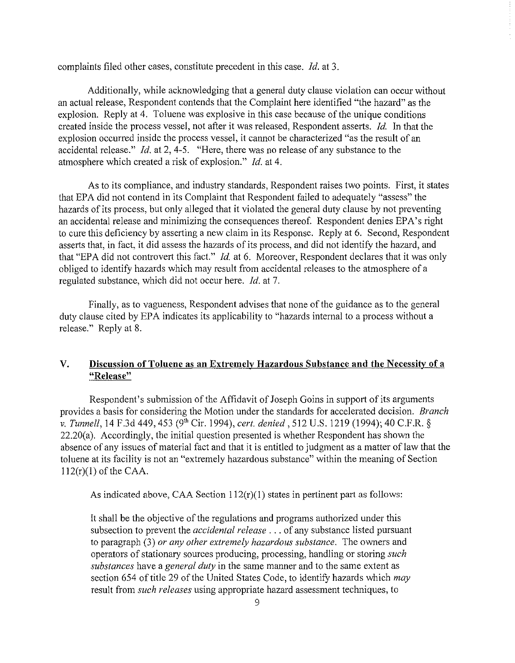complaints filed other cases, constitute precedent in this case. *!d.* at 3.

Additionally, while acknowledging that a general duty clause violation can occur without an actual release, Respondent contends that the Complaint here identified "the hazard" as the explosion. Reply at 4. Toluene was explosive in this case because of the unique conditions created inside the process vessel, not after it was released, Respondent asserts. *!d.* In that the explosion occurred inside the process vessel, it cannot be characterized "as the result of an accidental release." *!d.* at 2, 4-5. "Here, there was no release of any substance to the atmosphere which created a risk of explosion." *!d.* at 4.

As to its compliance, and industry standards, Respondent raises two points. First, it states that EPA did not contend in its Complaint that Respondent failed to adequately "assess" the hazards of its process, but only alleged that it violated the general duty clause by not preventing an accidental release and minimizing the consequences thereof. Respondent denies EPA's right to cure this deficiency by asserting a new claim in its Response. Reply at 6. Second, Respondent asserts that, in fact, it did assess the hazards of its process, and did not identify the hazard, and that "EPA did not controvert this fact." *Id.* at 6. Moreover, Respondent declares that it was only obliged to identify hazards which may result from accidental releases to the atmosphere of a regulated substance, which did not occur here. *!d.* at 7.

Finally, as to vagueness, Respondent advises that none of the guidance as to the general duty clause cited by EPA indicates its applicability to "hazards internal to a process without a release." Reply at 8.

## **V. Discussion of Toluene as an Extremely Hazardous Substance and the Necessity of a "Release"**

Respondent's submission of the Affidavit of Joseph Goins in support of its arguments provides a basis for considering the Motion under the standards for accelerated decision. *Branch v. Tunnell,* 14 F.3d 449, 453 (9'h Cir. 1994), *cert. denied,* 512 U.S. 1219 (1994); 40 C.F.R. *§*  22.20(a). Accordingly, the initial question presented is whether Respondent has shown the absence of any issues of material fact and that it is entitled to judgment as a matter of law that the toluene at its facility is not an "extremely hazardous substance" within the meaning of Section  $112(r)(1)$  of the CAA.

As indicated above, CAA Section  $112(r)(1)$  states in pertinent part as follows:

It shall be the objective of the regulations and programs authorized under this subsection to prevent the *accidental release* ... of any substance listed pursuant to paragraph (3) *or any other extremely hazardous substance.* The owners and operators of stationary sources producing, processing, handling or storing *such substances* have a *general duty* in the same manner and to the same extent as section 654 of title 29 of the United States Code, to identify hazards which *may* result from *such releases* using appropriate hazard assessment techniques, to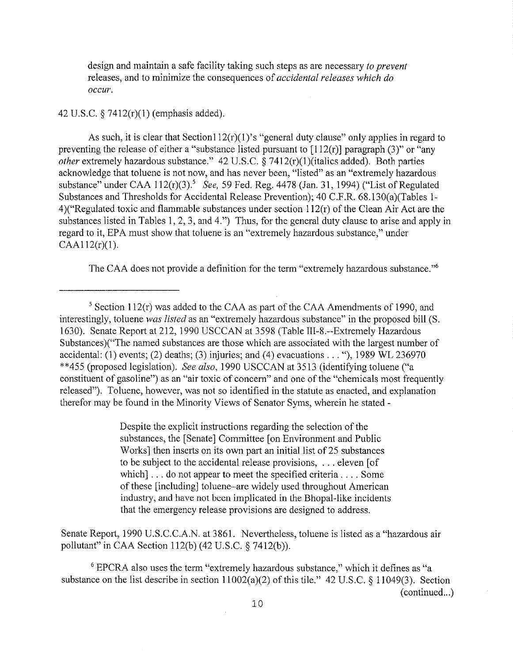design and maintain a safe facility taking such steps as are necessary *to prevent* releases, and to minimize the consequences of *accidental releases which do occur.* 

#### 42 U.S.C. § 7412(r)(l) (emphasis added).

As such, it is clear that Section112(r)(1)'s "general duty clause" only applies in regard to preventing the release of either a "substance listed pursuant to  $[112(r)]$  paragraph (3)" or "any *other* extremely hazardous substance." 42 U.S.C. § 7412(r)(1)(italics added). Both parties acknowledge that toluene is not now, and has never been, "listed" as an "extremely hazardous substance" under CAA 112(r)(3).<sup>5</sup>*See,* 59 Fed. Reg. 4478 (Jan. 31, 1994) ("List of Regulated Substances and Thresholds for Accidental Release Prevention); 40 C.F.R. 68.!30(a)(Tables 1- 4)("Regulated toxic and flammable substances under section 112(r) of the Clean Air Act are the substances listed in Tables l, 2, 3, and 4.") Thus, for the general duty clause to arise and apply in regard to it, EPA must show that toluene is an "extremely hazardous substance," under  $CAA112(r)(1)$ .

The CAA does not provide a definition for the term "extremely hazardous substance."6

Despite the explicit instructions regarding the selection of the substances, the [Senate] Committee [on Environment and Public Works] then inserts on its own part an initial list of 25 substances to be subject to the accidental release provisions, ... eleven [of which] . . . do not appear to meet the specified criteria . . . . Some of these [including] toluene-are widely used throughout American industty, and have not been implicated in the Bhopal-like incidents that the emergency release provisions are designed to address.

Senate Report, 1990 U.S.C.C.A.N. at 3861. Nevertheless, toluene is listed as a "hazardous air pollutant" in CAA Section ll2(b) (42 U.S.C. § 7412(b)).

6 EPCRA also uses the term "extremely hazardous substance," which it defines as "a substance on the list describe in section 11002(a)(2) of this tile." 42 U.S.C. § 11049(3). Section  $(continued...)$ 

<sup>&</sup>lt;sup>5</sup> Section 112(r) was added to the CAA as part of the CAA Amendments of 1990, and interestingly, toluene *was listed* as an "extremely hazardous substance" in the proposed bill (S. 1630). Senate Report at 212, 1990 USCCAN at 3598 (Table III-8.--Extremely Hazardous Substances)("The named substances are those which are associated with the largest number of accidental: (1) events; (2) deaths; (3) injuries; and (4) evacuations  $\dots$ ; (1989 WL 236970) \*\*455 (proposed legislation). *See also*, 1990 USCCAN at 3513 (identifying toluene ("a constituent of gasoline") as an "air toxic of concern" and one of the "chemicals most frequently released"). Toluene, however, was not so identified in the statute as enacted, and explanation therefor may be found in the Minority Views of Senator Syms, wherein he stated -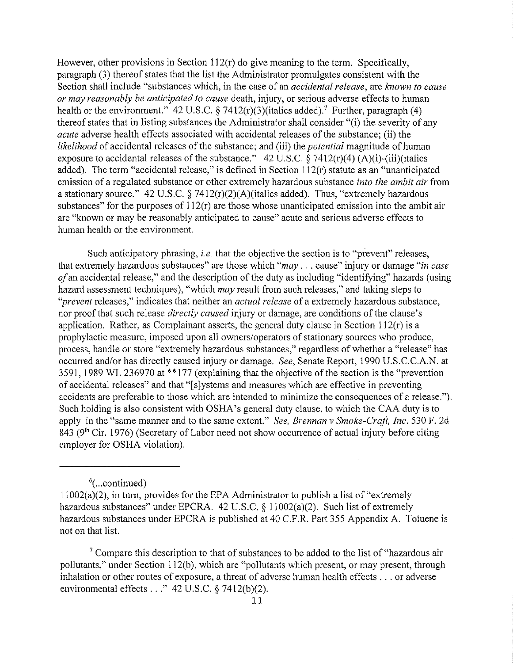However, other provisions in Section 112(r) do give meaning to the term. Specifically, paragraph (3) thereof states that the list the Administrator promulgates consistent with the Section shall include "substances which, in the case of an *accidental release,* are *known to cause or may reasonably be anticipated to cause* death, injury, or serious adverse effects to human health or the environment." 42 U.S.C. § 7412 $(r)(3)$  (italics added).<sup>7</sup> Further, paragraph (4) thereof states that in listing substances the Administrator shall consider "(i) the severity of any *acute* adverse health effects associated with accidental releases of the substance; (ii) the *likelihood* of accidental releases of the substance; and (iii) the *potential* magnitude of human exposure to accidental releases of the substance." 42 U.S.C.  $\hat{\S}$  7412(r)(4) (A)(i)-(iii)(italics added). The term "accidental release," is defined in Section 112(r) statute as an "unanticipated emission of a regulated substance or other extremely hazardous substance *into the ambit air* from a stationary source." 42 U.S.C.  $\S 7412(r)(2)(A)$  (italics added). Thus, "extremely hazardous substances" for the purposes of  $112(r)$  are those whose unanticipated emission into the ambit air are "known or may be reasonably anticipated to cause" acute and serious adverse effects to human health or the environment.

Such anticipatory phrasing, *i.e.* that the objective the section is to "prevent" releases, that extremely hazardous substances" are those which *"may* ... cause" injury or damage *"in case of* an accidental release," and the description of the duty as including "identifying" hazards (using hazard assessment techniques), "which *may* result from such releases," and taking steps to *"prevent* releases," indicates that neither an *actual release* of a extremely hazardous substance, nor proof that such release *directly caused* injury or damage, are conditions of the clause's application. Rather, as Complainant asserts, the general duty clause in Section 112(r) is a prophylactic measure, imposed upon all owners/operators of stationary sources who produce, process, handle or store "extremely hazardous substances," regardless of whether a "release" has occurred and/or has directly caused injury or damage. *See,* Senate Report, 1990 U.S.C.C.A.N. at 3591, 1989 WL 236970 at \*\*177 (explaining that the objective of the section is the "prevention" of accidental releases" and that "[s]ystems and measures which are effective in preventing accidents are preferable to those which are intended to minimize the consequences of a release."). Such holding is also consistent with OSHA's general duty clause, to which the CAA duty is to apply in the "same manner and to the same extent." *See, Brennan v Smoke-Craft, Inc.* 530 F. 2d epply the the same manner and to the same shown. Ever, so challen't shown is equipped and  $843$  (9<sup>th</sup> Cir. 1976) (Secretary of Labor need not show occurrence of actual injury before citing employer for OSHA violation).

<sup>6</sup>(...continued)

<sup>7</sup> Compare this description to that of substances to be added to the list of "hazardous air" pollutants," under Section 112(b), which are "pollutants which present, or may present, through inhalation or other routes of exposure, a threat of adverse human health effects ... or adverse environmental effects ..."  $42 \text{ U.S.C.}$  § 7412(b)(2).

 $11002(a)(2)$ , in turn, provides for the EPA Administrator to publish a list of "extremely hazardous substances" under EPCRA. 42 U.S.C. § 11002(a)(2). Such list of extremely hazardous substances under EPCRA is published at 40 C.F.R. Part 355 Appendix A. Toluene is not on that list.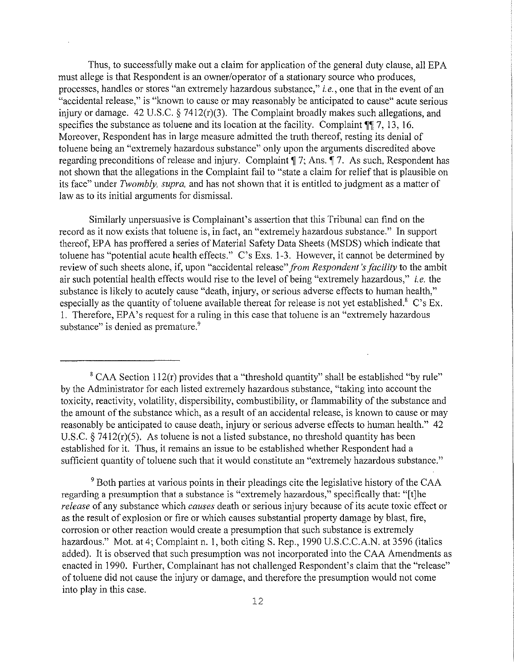Thus, to successfully make out a claim for application of the general duty clause, all EPA must allege is that Respondent is an owner/operator of a stationary source who produces, processes, handles or stores "an extremely hazardous substance," *i.e.,* one that in the event of an "accidental release," is "known to cause or may reasonably be anticipated to cause" acute serious injury or damage. 42 U.S.C.  $\S$  7412(r)(3). The Complaint broadly makes such allegations, and specifies the substance as toluene and its location at the facility. Complaint  $\P$  7, 13, 16. Moreover, Respondent has in large measure admitted the truth thereof, resting its denial of toluene being an "extremely hazardous substance" only upon the arguments discredited above regarding preconditions of release and injury. Complaint  $\P$  7; Ans.  $\P$  7. As such, Respondent has not shown that the allegations in the Complaint fail to "state a claim for relief that is plausible on its face" under *Twombly, supra,* and has not shown that it is entitled to judgment as a matter of law as to its initial arguments for dismissal.

Similarly unpersuasive is Complainant's assertion that this Tribunal can find on the record as it now exists that toluene is, in fact, an "extremely hazardous substance." In support thereof, EPA has proffered a series of Material Safety Data Sheets (MSDS) which indicate that toluene has "potential acute health effects." C's Exs. l-3. However, it cannot be determined by review of such sheets alone, if, upon "accidental release" *from Respondent's facility* to the ambit air such potential health effects would rise to the level of being "extremely hazardous," *i.e.* the substance is likely to acutely cause "death, injury, or serious adverse effects to human health," especially as the quantity of toluene available thereat for release is not yet established.<sup>8</sup> C's Ex. I. Therefore, EPA's request for a ruling in this case that toluene is an "extremely hazardous substance" is denied as premature.<sup>9</sup>

<sup>9</sup> Both parties at various points in their pleadings cite the legislative history of the CAA regarding a presumption that a substance is "extremely hazardous," specifically that: "[t]he *release* of any substance which *causes* death or serious injury because of its acute toxic effect or as the result of explosion or fire or which causes substantial property damage by blast, fire, corrosion or other reaction would create a presumption that such substance is extremely hazardous." Mot. at 4; Complaint n. 1, both citing S. Rep., 1990 U.S.C.C.A.N. at 3596 (italics added). It is observed that such presumption was not incorporated into the CAA Amendments as enacted in 1990. Further, Complainant has not challenged Respondent's claim that the "release" of toluene did not cause the injury or damage, and therefore the presumption would not come into play in this case.

 $8$  CAA Section 112(r) provides that a "threshold quantity" shall be established "by rule" by the Administrator for each listed extremely hazardous substance, "taking into account the toxicity, reactivity, volatility, dispersibility, combustibility, or flammability of the substance and the amount of the substance which, as a result of an accidental release, is known to cause or may reasonably be anticipated to cause death, injury or serious adverse effects to human health." 42 U.S.C. § 7412(r)(5). As toluene is not a listed substance, no threshold quantity has been established for it. Thus, it remains an issue to be established whether Respondent had a sufficient quantity of toluene such that it would constitute an "extremely hazardous substance."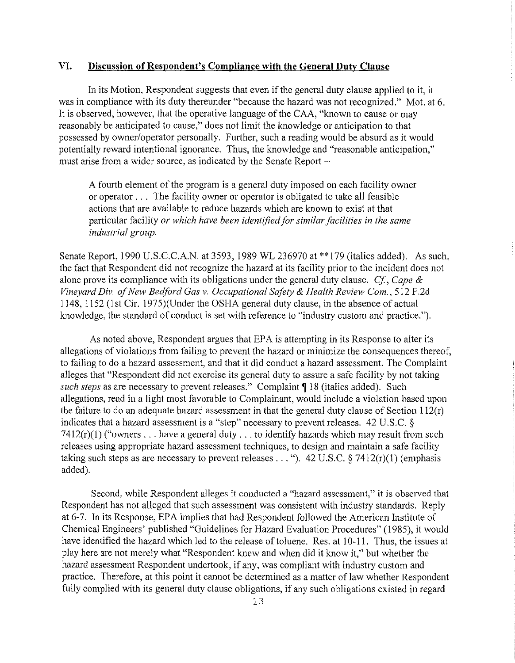### **VI. Discussion of Respondent's Compliance with the General Duty Clause**

In its Motion, Respondent suggests that even if the general duty clause applied to it, it was in compliance with its duty thereunder "because the hazard was not recognized." Mot. at 6. It is observed, however, that the operative language of the CAA, "known to cause or may reasonably be anticipated to cause," does not limit the knowledge or anticipation to that possessed by owner/operator personally. Further, such a reading would be absurd as it would potentially reward intentional ignorance. Thus, the knowledge and "reasonable anticipation," must arise from a wider source, as indicated by the Senate Report --

A fourth element of the program is a general duty imposed on each facility owner or operator ... The facility owner or operator is obligated to take all feasible actions that are available to reduce hazards which are known to exist at that particular facility *or which have been identified for similar facilities in the same industrial group.* 

Senate Report, 1990 U.S.C.C.A.N. at 3593, 1989 WL 236970 at \*\*179 (italics added). As such, the fact that Respondent did not recognize the hazard at its facility prior to the incident does not alone prove its compliance with its obligations under the general duty clause. *Cf, Cape* & *Vineyard Div. of New Bedford Gas v. Occupational Safety* & *Health Review Com.,* 512 F.2d 1148, 1152 (1st Cir. 1975)(Under the OSHA general duty clause, in the absence of actual knowledge, the standard of conduct is set with reference to "industry custom and practice.").

As noted above, Respondent argues that EPA is attempting in its Response to alter its allegations of violations from failing to prevent the hazard or minimize the consequences thereof, to failing to do a hazard assessment, and that it did conduct a hazard assessment. The Complaint alleges that "Respondent did not exercise its general duty to assure a safe facility by not taking *such steps* as are necessary to prevent releases." Complaint ¶ 18 (italics added). Such allegations, read in a light most favorable to Complainant, would include a violation based upon the failure to do an adequate hazard assessment in that the general duty clause of Section  $112(r)$ indicates that a hazard assessment is a "step" necessary to prevent releases. 42 U.S.C. §  $7412(r)(1)$  ("owners ... have a general duty ... to identify hazards which may result from such releases using appropriate hazard assessment techniques, to design and maintain a safe facility taking such steps as are necessary to prevent releases . . . "). 42 U.S.C. § 7412(r)(1) (emphasis added).

Second, while Respondent alleges it conducted a "hazard assessment," it is observed that Respondent has not alleged that such assessment was consistent with industry standards. Reply at 6-7. In its Response, EPA implies that had Respondent followed the American Institute of Chemical Engineers' published "Guidelines for Hazard Evaluation Procedures" (1985), it would have identified the hazard which led to the release of toluene. Res. at 10-11. Thus, the issues at play here are not merely what "Respondent knew and when did it know it," but whether the hazard assessment Respondent undertook, if any, was compliant with industry custom and practice. Therefore, at this point it cannot be determined as a matter of law whether Respondent fully complied with its general duty clause obligations, if any such obligations existed in regard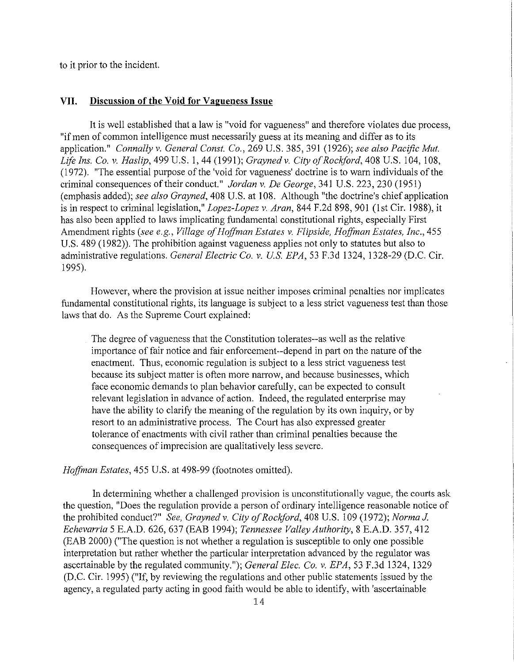to it prior to the incident.

#### **VII. Discussion of the Void for Vagueness Issue**

It is well established that a law is "void for vagueness" and therefore violates due process, "if men of common intelligence must necessarily guess at its meaning and differ as to its application." *Connally* v. *General Canst. Co.,* 269 U.S. 385, 391 (1926); *see also Pacific Mut. Life Ins. Co.* v. *Has lip,* 499 U.S. I, 44 (1991); *Grayned* v. *City of Rockford,* 408 U.S. 104, 108, (1972). "The essential purpose of the 'void for vagueness' doctrine is to warn individuals of the criminal consequences of their conduct." *Jordan* v. *De George,* 341 U.S. 223,230 (1951) (emphasis added); *see also Grayned,* 408 U.S. at 108. Although "the doctrine's chief application is in respect to criminal legislation," *Lopez-Lopez v. Aran*, 844 F.2d 898, 901 (1st Cir. 1988), it has also been applied to laws implicating fundamental constitutional rights, especially First Amendment rights *(see e.g., Village of Hoffman Estates* v. *Flipside, Hoffman Estates, Inc.,* 455 U.S. 489 (1982)). The prohibition against vagueness applies not only to statutes but also to administrative regulations. *General Electric Co.* v. *U.S. EPA,* 53 F.3d 1324, 1328-29 (D.C. Cir. 1995).

However, where the provision at issue neither imposes criminal penalties nor implicates fundamental constitutional rights, its language is subject to a less strict vagueness test than those laws that do. As the Supreme Court explained:

The degree of vagueness that the Constitution tolerates--as well as the relative importance of fair notice and fair enforcement--depend in part on the nature of the enactment. Thus, economic regulation is subject to a less strict vagueness test because its subject matter is often more narrow, and because businesses, which face economic demands to plan behavior carefully, can be expected to consult relevant legislation in advance of action. Indeed, the regulated enterprise may have the ability to clarify the meaning of the regulation by its own inquiry, or by resort to an administrative process. The Court has also expressed greater tolerance of enactments with civil rather than criminal penalties because the consequences of imprecision are qualitatively less severe.

*Hoffman Estates,* 455 U.S. at 498-99 (footnotes omitted).

In determining whether a challenged provision is unconstitutionally vague, the courts ask the question, "Does the regulation provide a person of ordinary intelligence reasonable notice of the prohibited conduct?" *See, Grayned v. City of Rockford,* 408 U.S. 109 (1972); *Norma* J. *Echevarria* 5 E.A.D. 626, 637 (EAB 1994); *Tennessee Valley Authority,* 8 E.A.D. 357,412 (EAB 2000) ("The question is not whether a regulation is susceptible to only one possible interpretation but rather whether the particular interpretation advanced by the regulator was ascertainable by the regulated community."); *General Elec. Co. v. EPA,* 53 F.3d 1324, 1329 (D.C. Cir. 1995) ("If, by reviewing the regulations and other public statements issued by the agency, a regulated party acting in good faith would be able to identify, with 'ascertainable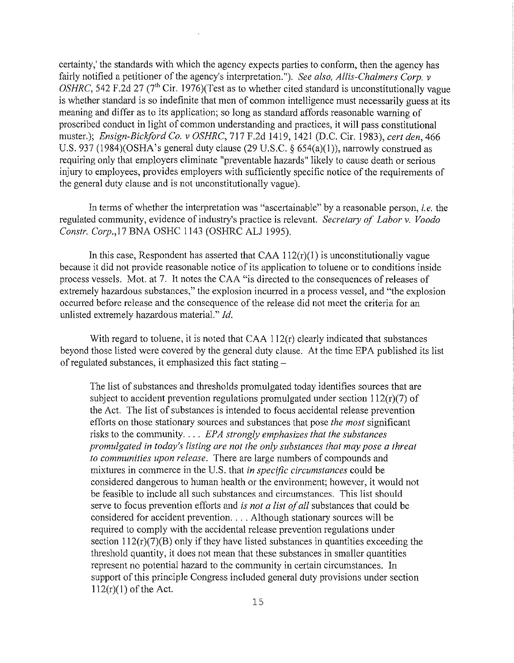certainty,' the standards with which the agency expects parties to conform, then the agency has fairly notified a petitioner of the agency's interpretation."). *See also, Allis-Chalmers Corp. v OSHRC*, 542 F.2d 27 (7<sup>th</sup> Cir. 1976)(Test as to whether cited standard is unconstitutionally vague is whether standard is so indefinite that men of common intelligence must necessarily guess at its meaning and differ as to its application; so long as standard affords reasonable warning of proscribed conduct in light of common understanding and practices, it will pass constitutional muster.); *Ensign-Bickford Co. v OSHRC,* 717 F.2d 1419, 1421 (D.C. Cir. 1983), *cert den,* 466 U.S. 937 (1984)(OSHA's general duty clause (29 U.S.C. § 654(a)(1)), narrowly construed as requiring only that employers eliminate "preventable hazards" likely to cause death or serious injury to employees, provides employers with sufficiently specific notice of the requirements of the general duty clause and is not unconstitutionally vague).

In terms of whether the interpretation was "ascertainable" by a reasonable person, *i.e.* the regulated community, evidence of industry's practice is relevant. *Secretary of Labor v. Voodo Constr. Corp., 17 BNA OSHC 1143 (OSHRC ALJ 1995).* 

In this case, Respondent has asserted that  $CAA$  112 $(r)(1)$  is unconstitutionally vague because it did not provide reasonable notice of its application to toluene or to conditions inside process vessels. Mot. at 7. It notes the CAA "is directed to the consequences of releases of extremely hazardous substances," the explosion incurred in a process vessel, and "the explosion occurred before release and the consequence of the release did not meet the criteria for an unlisted extremely hazardous material." *!d.* 

With regard to toluene, it is noted that CAA 112(r) clearly indicated that substances beyond those listed were covered by the general duty clause. At the time EPA published its list of regulated substances, it emphasized this fact stating-

The list of substances and thresholds promulgated today identifies sources that are subject to accident prevention regulations promulgated under section  $112(r)(7)$  of the Act. The list of substances is intended to focus accidental release prevention efforts on those stationary sources and substances that pose *the most* significant risks to the community .... *EPA strongly emphasizes that the substances promulgated in today's listing are not the only substances that may pose a threat to communities upon release.* There are large numbers of compounds and mixtures in commerce in the U.S. that *in specific circumstances* could be considered dangerous to human health or the environment; however, it would not be feasible to include all such substances and circumstances. This list should serve to focus prevention efforts and *is not a list of all* substances that could be considered for accident prevention .... Although stationary sources will be required to comply with the accidental release prevention regulations under section  $112(r)(7)(B)$  only if they have listed substances in quantities exceeding the threshold quantity, it does not mean that these substances in smaller quantities represent no potential hazard to the community in certain circumstances. In support of this principle Congress included general duty provisions under section  $112(r)(1)$  of the Act.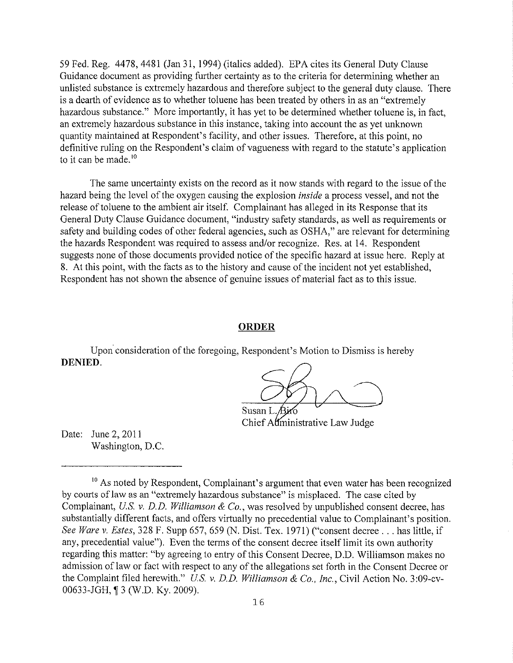59 Fed. Reg. 4478,4481 (Jan 31, 1994) (italics added). EPA cites its General Duty Clause Guidance document as providing further certainty as to the criteria for determining whether an unlisted substance is extremely hazardous and therefore subject to the general duty clause. There is a dearth of evidence as to whether toluene has been treated by others in as an "extremely hazardous substance." More importantly, it has yet to be determined whether toluene is, in fact, an extremely hazardous substance in this instance, taking into account the as yet unknown quantity maintained at Respondent's facility, and other issues. Therefore, at this point, no definitive ruling on the Respondent's claim of vagueness with regard to the statute's application to it can be made. $10$ 

The same uncertainty exists on the record as it now stands with regard to the issue of the hazard being the level of the oxygen causing the explosion *inside* a process vessel, and not the release of toluene to the ambient air itself. Complainant has alleged in its Response that its General Duty Clause Guidance document, "industry safety standards, as well as requirements or safety and building codes of other federal agencies, such as OSHA," are relevant for determining the hazards Respondent was required to assess and/or recognize. Res. at 14. Respondent suggests none of those documents provided notice of the specific hazard at issue here. Reply at 8. At this point, with the facts as to the history and cause of the incident not yet established, Respondent has not shown the absence of genuine issues of material fact as to this issue.

#### **ORDER**

Upon consideration of the foregoing, Respondent's Motion to Dismiss is hereby **DENIED.** 

Susan L. Chief Administrative Law Judge

Date: June 2, 2011 Washington, D.C.

<sup>&</sup>lt;sup>10</sup> As noted by Respondent, Complainant's argument that even water has been recognized by courts of law as an "extremely hazardous substance" is misplaced. The case cited by Complainant, *U.S. v. D.D. Williamson & Co.*, was resolved by unpublished consent decree, has substantially different facts, and offers virtually no precedential value to Complainant's position. *See Ware v. Estes,* 328 F. Supp 657,659 (N. Dist. Tex. 1971) ("consent decree ... has little, if any, precedential value"). Even the terms of the consent decree itself limit its own authority regarding this matter: "by agreeing to entry of this Consent Decree, D.D. Williamson makes no admission of law or fact with respect to any of the allegations set forth in the Consent Decree or the Complaint filed herewith." *U.S. v. D.D. Williamson* & *Co., Inc.,* Civil Action No. 3:09-cv-00633-JGH, ¶3 (W.D. Ky. 2009).